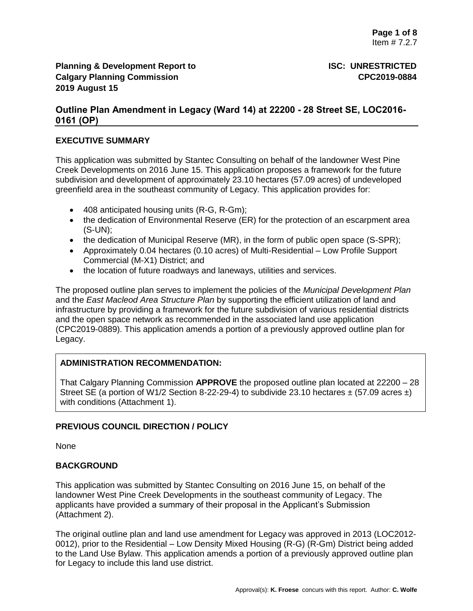# **Outline Plan Amendment in Legacy (Ward 14) at 22200 - 28 Street SE, LOC2016- 0161 (OP)**

## **EXECUTIVE SUMMARY**

This application was submitted by Stantec Consulting on behalf of the landowner West Pine Creek Developments on 2016 June 15. This application proposes a framework for the future subdivision and development of approximately 23.10 hectares (57.09 acres) of undeveloped greenfield area in the southeast community of Legacy. This application provides for:

- 408 anticipated housing units (R-G, R-Gm);
- the dedication of Environmental Reserve (ER) for the protection of an escarpment area (S-UN);
- the dedication of Municipal Reserve (MR), in the form of public open space (S-SPR);
- Approximately 0.04 hectares (0.10 acres) of Multi-Residential Low Profile Support Commercial (M-X1) District; and
- the location of future roadways and laneways, utilities and services.

The proposed outline plan serves to implement the policies of the *Municipal Development Plan*  and the *East Macleod Area Structure Plan* by supporting the efficient utilization of land and infrastructure by providing a framework for the future subdivision of various residential districts and the open space network as recommended in the associated land use application (CPC2019-0889). This application amends a portion of a previously approved outline plan for Legacy.

## **ADMINISTRATION RECOMMENDATION:**

That Calgary Planning Commission **APPROVE** the proposed outline plan located at 22200 – 28 Street SE (a portion of W1/2 Section 8-22-29-4) to subdivide 23.10 hectares  $\pm$  (57.09 acres  $\pm$ ) with conditions (Attachment 1).

## **PREVIOUS COUNCIL DIRECTION / POLICY**

None

## **BACKGROUND**

This application was submitted by Stantec Consulting on 2016 June 15, on behalf of the landowner West Pine Creek Developments in the southeast community of Legacy. The applicants have provided a summary of their proposal in the Applicant's Submission (Attachment 2).

The original outline plan and land use amendment for Legacy was approved in 2013 (LOC2012- 0012), prior to the Residential – Low Density Mixed Housing (R-G) (R-Gm) District being added to the Land Use Bylaw. This application amends a portion of a previously approved outline plan for Legacy to include this land use district.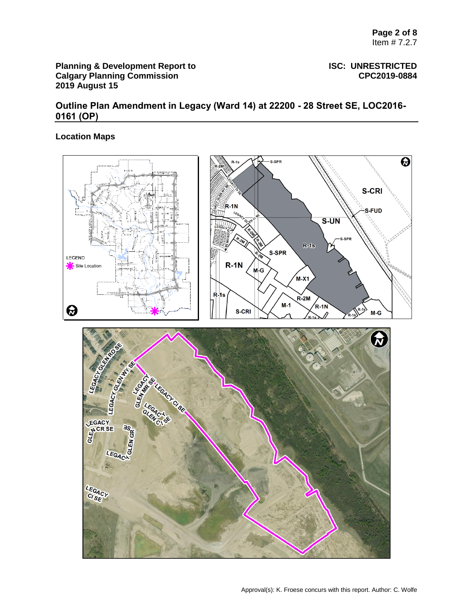# **Outline Plan Amendment in Legacy (Ward 14) at 22200 - 28 Street SE, LOC2016- 0161 (OP)**

## **Location Maps**

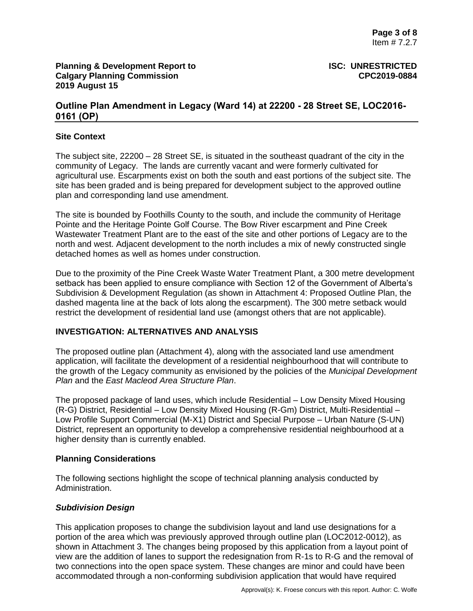# **Outline Plan Amendment in Legacy (Ward 14) at 22200 - 28 Street SE, LOC2016- 0161 (OP)**

### **Site Context**

The subject site, 22200 – 28 Street SE, is situated in the southeast quadrant of the city in the community of Legacy. The lands are currently vacant and were formerly cultivated for agricultural use. Escarpments exist on both the south and east portions of the subject site. The site has been graded and is being prepared for development subject to the approved outline plan and corresponding land use amendment.

The site is bounded by Foothills County to the south, and include the community of Heritage Pointe and the Heritage Pointe Golf Course. The Bow River escarpment and Pine Creek Wastewater Treatment Plant are to the east of the site and other portions of Legacy are to the north and west. Adjacent development to the north includes a mix of newly constructed single detached homes as well as homes under construction.

Due to the proximity of the Pine Creek Waste Water Treatment Plant, a 300 metre development setback has been applied to ensure compliance with Section 12 of the Government of Alberta's Subdivision & Development Regulation (as shown in Attachment 4: Proposed Outline Plan, the dashed magenta line at the back of lots along the escarpment). The 300 metre setback would restrict the development of residential land use (amongst others that are not applicable).

#### **INVESTIGATION: ALTERNATIVES AND ANALYSIS**

The proposed outline plan (Attachment 4), along with the associated land use amendment application, will facilitate the development of a residential neighbourhood that will contribute to the growth of the Legacy community as envisioned by the policies of the *Municipal Development Plan* and the *East Macleod Area Structure Plan*.

The proposed package of land uses, which include Residential – Low Density Mixed Housing (R-G) District, Residential – Low Density Mixed Housing (R-Gm) District, Multi-Residential – Low Profile Support Commercial (M-X1) District and Special Purpose – Urban Nature (S-UN) District, represent an opportunity to develop a comprehensive residential neighbourhood at a higher density than is currently enabled.

#### **Planning Considerations**

The following sections highlight the scope of technical planning analysis conducted by Administration.

## *Subdivision Design*

This application proposes to change the subdivision layout and land use designations for a portion of the area which was previously approved through outline plan (LOC2012-0012), as shown in Attachment 3. The changes being proposed by this application from a layout point of view are the addition of lanes to support the redesignation from R-1s to R-G and the removal of two connections into the open space system. These changes are minor and could have been accommodated through a non-conforming subdivision application that would have required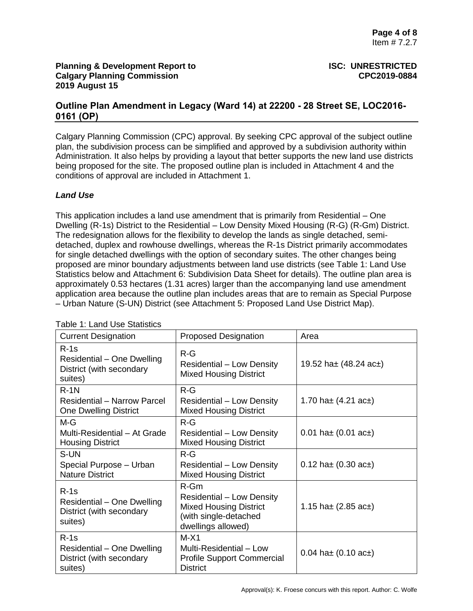# **Outline Plan Amendment in Legacy (Ward 14) at 22200 - 28 Street SE, LOC2016- 0161 (OP)**

Calgary Planning Commission (CPC) approval. By seeking CPC approval of the subject outline plan, the subdivision process can be simplified and approved by a subdivision authority within Administration. It also helps by providing a layout that better supports the new land use districts being proposed for the site. The proposed outline plan is included in Attachment 4 and the conditions of approval are included in Attachment 1.

## *Land Use*

This application includes a land use amendment that is primarily from Residential – One Dwelling (R-1s) District to the Residential – Low Density Mixed Housing (R-G) (R-Gm) District. The redesignation allows for the flexibility to develop the lands as single detached, semidetached, duplex and rowhouse dwellings, whereas the R-1s District primarily accommodates for single detached dwellings with the option of secondary suites. The other changes being proposed are minor boundary adjustments between land use districts (see Table 1: Land Use Statistics below and Attachment 6: Subdivision Data Sheet for details). The outline plan area is approximately 0.53 hectares (1.31 acres) larger than the accompanying land use amendment application area because the outline plan includes areas that are to remain as Special Purpose – Urban Nature (S-UN) District (see Attachment 5: Proposed Land Use District Map).

| <b>Current Designation</b>                                                  | <b>Proposed Designation</b>                                                                                                | Area                             |
|-----------------------------------------------------------------------------|----------------------------------------------------------------------------------------------------------------------------|----------------------------------|
| $R-1s$<br>Residential - One Dwelling<br>District (with secondary<br>suites) | $R-G$<br>Residential – Low Density<br><b>Mixed Housing District</b>                                                        | 19.52 ha $\pm$ (48.24 ac $\pm$ ) |
| $R-1N$<br>Residential - Narrow Parcel<br><b>One Dwelling District</b>       | $R-G$<br>Residential – Low Density<br><b>Mixed Housing District</b>                                                        | 1.70 ha $\pm$ (4.21 ac $\pm$ )   |
| $M-G$<br>Multi-Residential - At Grade<br><b>Housing District</b>            | $R-G$<br><b>Residential - Low Density</b><br><b>Mixed Housing District</b>                                                 | 0.01 ha $\pm$ (0.01 ac $\pm$ )   |
| S-UN<br>Special Purpose - Urban<br><b>Nature District</b>                   | $R-G$<br><b>Residential - Low Density</b><br><b>Mixed Housing District</b>                                                 | 0.12 ha $\pm$ (0.30 ac $\pm$ )   |
| $R-1s$<br>Residential - One Dwelling<br>District (with secondary<br>suites) | $R-Gm$<br><b>Residential - Low Density</b><br><b>Mixed Housing District</b><br>(with single-detached<br>dwellings allowed) | 1.15 ha $\pm$ (2.85 ac $\pm$ )   |
| $R-1s$<br>Residential – One Dwelling<br>District (with secondary<br>suites) | $M-X1$<br>Multi-Residential - Low<br><b>Profile Support Commercial</b><br><b>District</b>                                  | 0.04 ha $\pm$ (0.10 ac $\pm$ )   |

Table 1: Land Use Statistics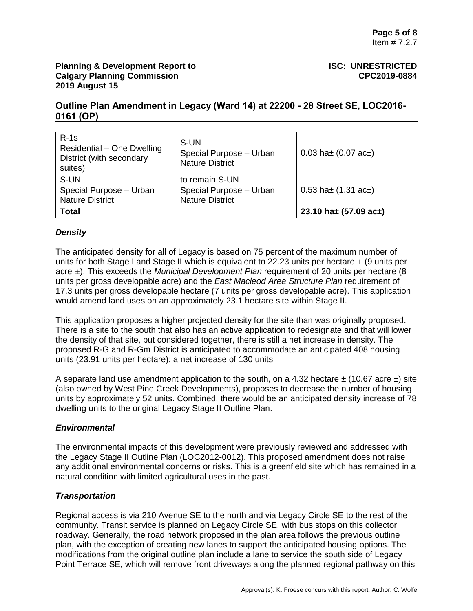# **Outline Plan Amendment in Legacy (Ward 14) at 22200 - 28 Street SE, LOC2016- 0161 (OP)**

| $R-1s$<br>Residential - One Dwelling<br>District (with secondary<br>suites) | S-UN<br>Special Purpose - Urban<br><b>Nature District</b>           | 0.03 ha $\pm$ (0.07 ac $\pm$ ) |
|-----------------------------------------------------------------------------|---------------------------------------------------------------------|--------------------------------|
| S-UN<br>Special Purpose - Urban<br><b>Nature District</b>                   | to remain S-UN<br>Special Purpose - Urban<br><b>Nature District</b> | 0.53 ha $\pm$ (1.31 ac $\pm$ ) |
| <b>Total</b>                                                                |                                                                     | 23.10 ha± $(57.09$ ac±)        |

# *Density*

The anticipated density for all of Legacy is based on 75 percent of the maximum number of units for both Stage I and Stage II which is equivalent to 22.23 units per hectare  $\pm$  (9 units per acre ±). This exceeds the *Municipal Development Plan* requirement of 20 units per hectare (8 units per gross developable acre) and the *East Macleod Area Structure Plan* requirement of 17.3 units per gross developable hectare (7 units per gross developable acre). This application would amend land uses on an approximately 23.1 hectare site within Stage II.

This application proposes a higher projected density for the site than was originally proposed. There is a site to the south that also has an active application to redesignate and that will lower the density of that site, but considered together, there is still a net increase in density. The proposed R-G and R-Gm District is anticipated to accommodate an anticipated 408 housing units (23.91 units per hectare); a net increase of 130 units

A separate land use amendment application to the south, on a 4.32 hectare  $\pm$  (10.67 acre  $\pm$ ) site (also owned by West Pine Creek Developments), proposes to decrease the number of housing units by approximately 52 units. Combined, there would be an anticipated density increase of 78 dwelling units to the original Legacy Stage II Outline Plan.

## *Environmental*

The environmental impacts of this development were previously reviewed and addressed with the Legacy Stage II Outline Plan (LOC2012-0012). This proposed amendment does not raise any additional environmental concerns or risks. This is a greenfield site which has remained in a natural condition with limited agricultural uses in the past.

# *Transportation*

Regional access is via 210 Avenue SE to the north and via Legacy Circle SE to the rest of the community. Transit service is planned on Legacy Circle SE, with bus stops on this collector roadway. Generally, the road network proposed in the plan area follows the previous outline plan, with the exception of creating new lanes to support the anticipated housing options. The modifications from the original outline plan include a lane to service the south side of Legacy Point Terrace SE, which will remove front driveways along the planned regional pathway on this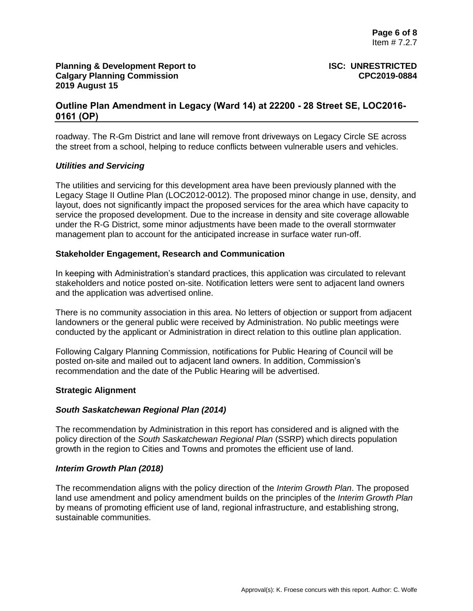# **Outline Plan Amendment in Legacy (Ward 14) at 22200 - 28 Street SE, LOC2016- 0161 (OP)**

roadway. The R-Gm District and lane will remove front driveways on Legacy Circle SE across the street from a school, helping to reduce conflicts between vulnerable users and vehicles.

### *Utilities and Servicing*

The utilities and servicing for this development area have been previously planned with the Legacy Stage II Outline Plan (LOC2012-0012). The proposed minor change in use, density, and layout, does not significantly impact the proposed services for the area which have capacity to service the proposed development. Due to the increase in density and site coverage allowable under the R-G District, some minor adjustments have been made to the overall stormwater management plan to account for the anticipated increase in surface water run-off.

### **Stakeholder Engagement, Research and Communication**

In keeping with Administration's standard practices, this application was circulated to relevant stakeholders and notice posted on-site. Notification letters were sent to adjacent land owners and the application was advertised online.

There is no community association in this area. No letters of objection or support from adjacent landowners or the general public were received by Administration. No public meetings were conducted by the applicant or Administration in direct relation to this outline plan application.

Following Calgary Planning Commission, notifications for Public Hearing of Council will be posted on-site and mailed out to adjacent land owners. In addition, Commission's recommendation and the date of the Public Hearing will be advertised.

#### **Strategic Alignment**

#### *South Saskatchewan Regional Plan (2014)*

The recommendation by Administration in this report has considered and is aligned with the policy direction of the *South Saskatchewan Regional Plan* (SSRP) which directs population growth in the region to Cities and Towns and promotes the efficient use of land.

#### *Interim Growth Plan (2018)*

The recommendation aligns with the policy direction of the *Interim Growth Plan*. The proposed land use amendment and policy amendment builds on the principles of the *Interim Growth Plan*  by means of promoting efficient use of land, regional infrastructure, and establishing strong, sustainable communities.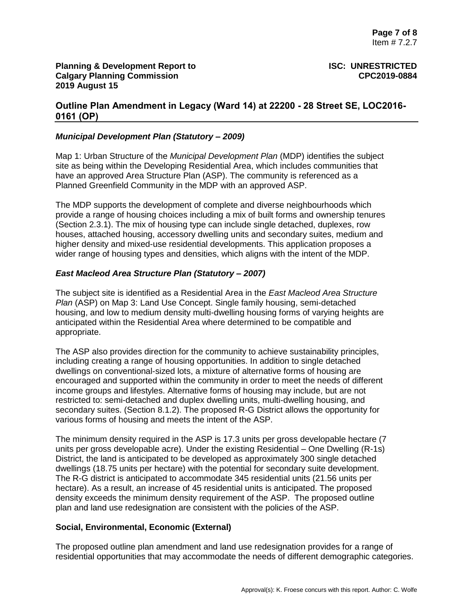## **Outline Plan Amendment in Legacy (Ward 14) at 22200 - 28 Street SE, LOC2016- 0161 (OP)**

### *Municipal Development Plan (Statutory – 2009)*

Map 1: Urban Structure of the *Municipal Development Plan* (MDP) identifies the subject site as being within the Developing Residential Area, which includes communities that have an approved Area Structure Plan (ASP). The community is referenced as a Planned Greenfield Community in the MDP with an approved ASP.

The MDP supports the development of complete and diverse neighbourhoods which provide a range of housing choices including a mix of built forms and ownership tenures (Section 2.3.1). The mix of housing type can include single detached, duplexes, row houses, attached housing, accessory dwelling units and secondary suites, medium and higher density and mixed-use residential developments. This application proposes a wider range of housing types and densities, which aligns with the intent of the MDP.

### *East Macleod Area Structure Plan (Statutory – 2007)*

The subject site is identified as a Residential Area in the *East Macleod Area Structure Plan* (ASP) on Map 3: Land Use Concept. Single family housing, semi-detached housing, and low to medium density multi-dwelling housing forms of varying heights are anticipated within the Residential Area where determined to be compatible and appropriate.

The ASP also provides direction for the community to achieve sustainability principles, including creating a range of housing opportunities. In addition to single detached dwellings on conventional-sized lots, a mixture of alternative forms of housing are encouraged and supported within the community in order to meet the needs of different income groups and lifestyles. Alternative forms of housing may include, but are not restricted to: semi-detached and duplex dwelling units, multi-dwelling housing, and secondary suites. (Section 8.1.2). The proposed R-G District allows the opportunity for various forms of housing and meets the intent of the ASP.

The minimum density required in the ASP is 17.3 units per gross developable hectare (7 units per gross developable acre). Under the existing Residential – One Dwelling (R-1s) District, the land is anticipated to be developed as approximately 300 single detached dwellings (18.75 units per hectare) with the potential for secondary suite development. The R-G district is anticipated to accommodate 345 residential units (21.56 units per hectare). As a result, an increase of 45 residential units is anticipated. The proposed density exceeds the minimum density requirement of the ASP. The proposed outline plan and land use redesignation are consistent with the policies of the ASP.

#### **Social, Environmental, Economic (External)**

The proposed outline plan amendment and land use redesignation provides for a range of residential opportunities that may accommodate the needs of different demographic categories.